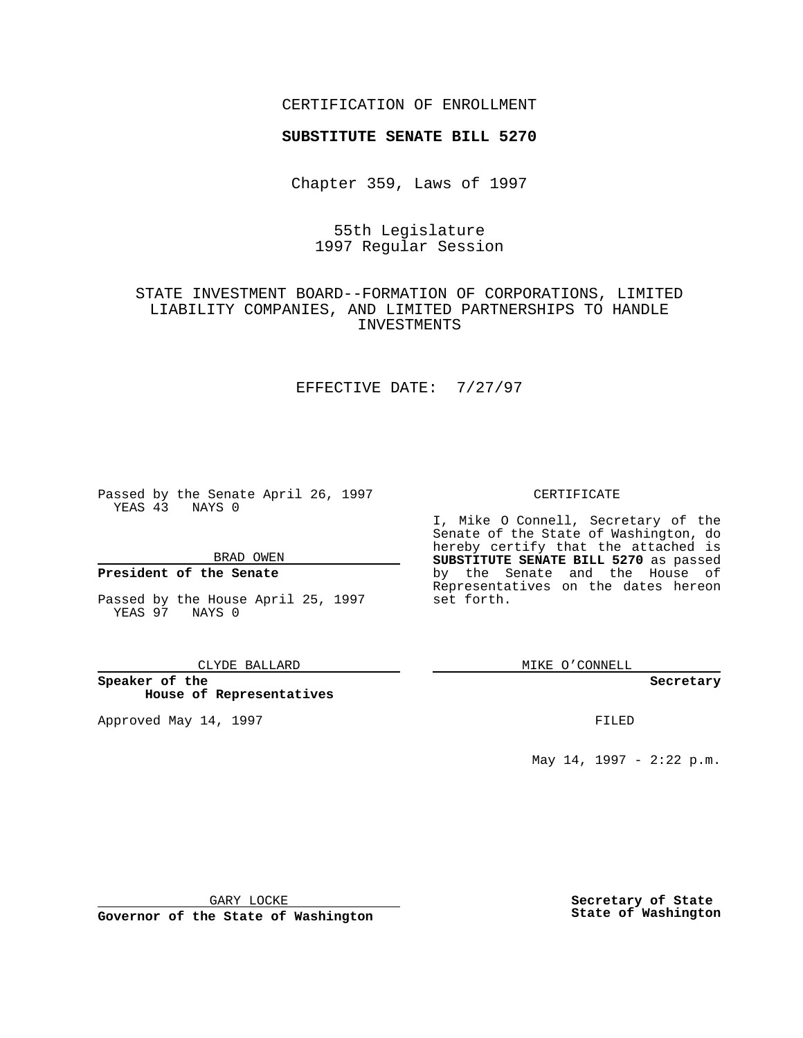## CERTIFICATION OF ENROLLMENT

# **SUBSTITUTE SENATE BILL 5270**

Chapter 359, Laws of 1997

# 55th Legislature 1997 Regular Session

# STATE INVESTMENT BOARD--FORMATION OF CORPORATIONS, LIMITED LIABILITY COMPANIES, AND LIMITED PARTNERSHIPS TO HANDLE INVESTMENTS

# EFFECTIVE DATE: 7/27/97

Passed by the Senate April 26, 1997 YEAS 43 NAYS 0

BRAD OWEN

## **President of the Senate**

Passed by the House April 25, 1997 YEAS 97 NAYS 0

#### CLYDE BALLARD

**Speaker of the House of Representatives**

Approved May 14, 1997 **FILED** 

### CERTIFICATE

I, Mike O Connell, Secretary of the Senate of the State of Washington, do hereby certify that the attached is **SUBSTITUTE SENATE BILL 5270** as passed by the Senate and the House of Representatives on the dates hereon set forth.

MIKE O'CONNELL

#### **Secretary**

May 14, 1997 - 2:22 p.m.

GARY LOCKE

**Governor of the State of Washington**

**Secretary of State State of Washington**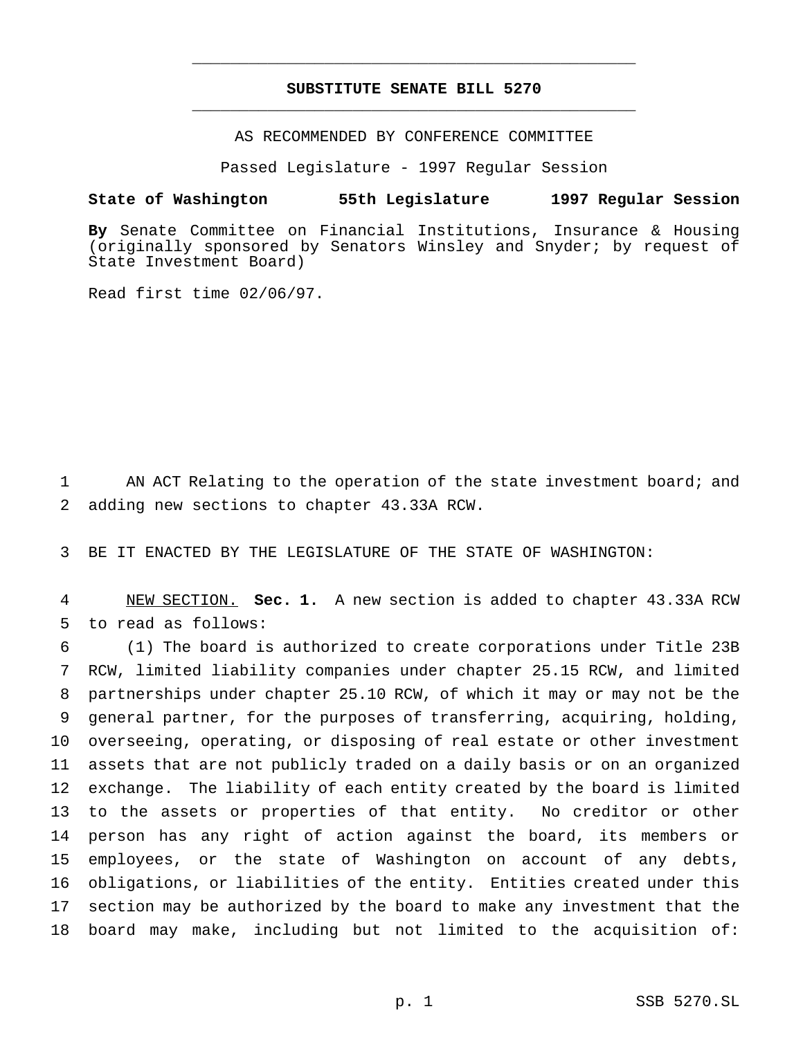## **SUBSTITUTE SENATE BILL 5270** \_\_\_\_\_\_\_\_\_\_\_\_\_\_\_\_\_\_\_\_\_\_\_\_\_\_\_\_\_\_\_\_\_\_\_\_\_\_\_\_\_\_\_\_\_\_\_

\_\_\_\_\_\_\_\_\_\_\_\_\_\_\_\_\_\_\_\_\_\_\_\_\_\_\_\_\_\_\_\_\_\_\_\_\_\_\_\_\_\_\_\_\_\_\_

AS RECOMMENDED BY CONFERENCE COMMITTEE

Passed Legislature - 1997 Regular Session

## **State of Washington 55th Legislature 1997 Regular Session**

**By** Senate Committee on Financial Institutions, Insurance & Housing (originally sponsored by Senators Winsley and Snyder; by request of State Investment Board)

Read first time 02/06/97.

1 AN ACT Relating to the operation of the state investment board; and 2 adding new sections to chapter 43.33A RCW.

3 BE IT ENACTED BY THE LEGISLATURE OF THE STATE OF WASHINGTON:

4 NEW SECTION. **Sec. 1.** A new section is added to chapter 43.33A RCW 5 to read as follows:

 (1) The board is authorized to create corporations under Title 23B RCW, limited liability companies under chapter 25.15 RCW, and limited partnerships under chapter 25.10 RCW, of which it may or may not be the general partner, for the purposes of transferring, acquiring, holding, overseeing, operating, or disposing of real estate or other investment assets that are not publicly traded on a daily basis or on an organized exchange. The liability of each entity created by the board is limited to the assets or properties of that entity. No creditor or other person has any right of action against the board, its members or employees, or the state of Washington on account of any debts, obligations, or liabilities of the entity. Entities created under this section may be authorized by the board to make any investment that the board may make, including but not limited to the acquisition of: